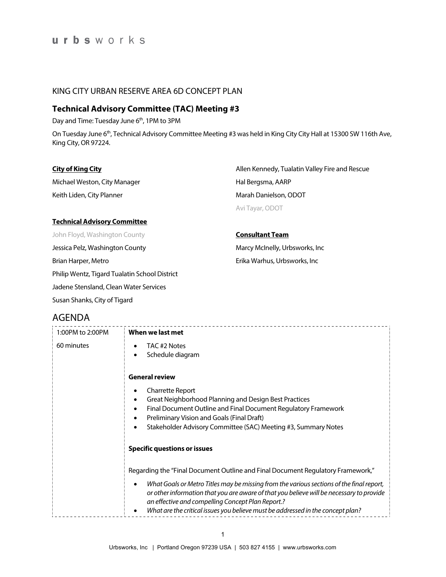### KING CITY URBAN RESERVE AREA 6D CONCEPT PLAN

## **Technical Advisory Committee (TAC) Meeting #3**

Day and Time: Tuesday June 6<sup>th</sup>, 1PM to 3PM

On Tuesday June 6<sup>th</sup>, Technical Advisory Committee Meeting #3 was held in King City City Hall at 15300 SW 116th Ave, King City, OR 97224.

| <b>City of King City</b>                      | Allen Kennedy, Tualatin Valley Fire and Rescue |  |
|-----------------------------------------------|------------------------------------------------|--|
| Michael Weston, City Manager                  | Hal Bergsma, AARP                              |  |
| Keith Liden, City Planner                     | Marah Danielson, ODOT                          |  |
|                                               | Avi Tayar, ODOT                                |  |
| <b>Technical Advisory Committee</b>           |                                                |  |
| John Floyd, Washington County                 | <b>Consultant Team</b>                         |  |
| Jessica Pelz, Washington County               | Marcy McInelly, Urbsworks, Inc.                |  |
| Brian Harper, Metro                           | Erika Warhus, Urbsworks, Inc                   |  |
| Philip Wentz, Tigard Tualatin School District |                                                |  |
| Jadene Stensland, Clean Water Services        |                                                |  |

## AGENDA

Susan Shanks, City of Tigard

| 1:00PM to 2:00PM | When we last met                                                                                                                                                                                                                                                                                                                  |
|------------------|-----------------------------------------------------------------------------------------------------------------------------------------------------------------------------------------------------------------------------------------------------------------------------------------------------------------------------------|
| 60 minutes       | TAC #2 Notes<br>Schedule diagram<br>$\bullet$                                                                                                                                                                                                                                                                                     |
|                  | <b>General review</b>                                                                                                                                                                                                                                                                                                             |
|                  | <b>Charrette Report</b><br>$\bullet$<br>Great Neighborhood Planning and Design Best Practices<br>$\bullet$<br>Final Document Outline and Final Document Regulatory Framework<br>٠<br>Preliminary Vision and Goals (Final Draft)<br>$\bullet$<br>Stakeholder Advisory Committee (SAC) Meeting #3, Summary Notes<br>$\bullet$       |
|                  | <b>Specific questions or issues</b>                                                                                                                                                                                                                                                                                               |
|                  | Regarding the "Final Document Outline and Final Document Regulatory Framework,"                                                                                                                                                                                                                                                   |
|                  | What Goals or Metro Titles may be missing from the various sections of the final report,<br>٠<br>or other information that you are aware of that you believe will be necessary to provide<br>an effective and compelling Concept Plan Report.?<br>What are the critical issues you believe must be addressed in the concept plan? |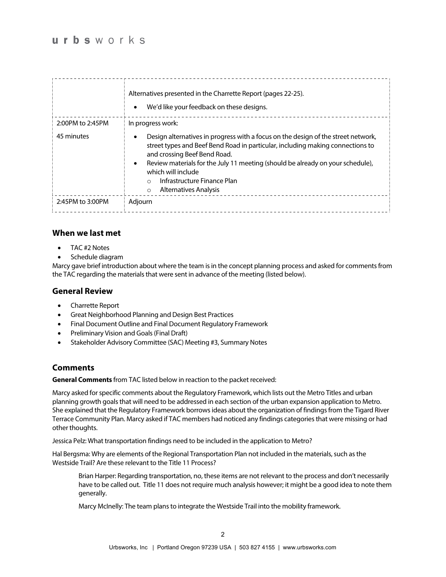|                  | Alternatives presented in the Charrette Report (pages 22-25).<br>We'd like your feedback on these designs.<br>$\bullet$                                                                                                                                                                                                                                                                               |
|------------------|-------------------------------------------------------------------------------------------------------------------------------------------------------------------------------------------------------------------------------------------------------------------------------------------------------------------------------------------------------------------------------------------------------|
| 2:00PM to 2:45PM | In progress work:                                                                                                                                                                                                                                                                                                                                                                                     |
| 45 minutes       | Design alternatives in progress with a focus on the design of the street network,<br>street types and Beef Bend Road in particular, including making connections to<br>and crossing Beef Bend Road.<br>Review materials for the July 11 meeting (should be already on your schedule),<br>$\bullet$<br>which will include<br>Infrastructure Finance Plan<br>$\cap$<br>Alternatives Analysis<br>$\circ$ |
| 2:45PM to 3:00PM | Adjourn                                                                                                                                                                                                                                                                                                                                                                                               |

### **When we last met**

- TAC #2 Notes
- Schedule diagram

Marcy gave brief introduction about where the team is in the concept planning process and asked for comments from the TAC regarding the materials that were sent in advance of the meeting (listed below).

### **General Review**

- Charrette Report
- Great Neighborhood Planning and Design Best Practices
- Final Document Outline and Final Document Regulatory Framework
- Preliminary Vision and Goals (Final Draft)
- Stakeholder Advisory Committee (SAC) Meeting #3, Summary Notes

### **Comments**

**General Comments** from TAC listed below in reaction to the packet received:

Marcy asked for specific comments about the Regulatory Framework, which lists out the Metro Titles and urban planning growth goals that will need to be addressed in each section of the urban expansion application to Metro. She explained that the Regulatory Framework borrows ideas about the organization of findings from the Tigard River Terrace Community Plan. Marcy asked if TAC members had noticed any findings categories that were missing or had other thoughts.

Jessica Pelz: What transportation findings need to be included in the application to Metro?

Hal Bergsma: Why are elements of the Regional Transportation Plan not included in the materials, such as the Westside Trail? Are these relevant to the Title 11 Process?

Brian Harper: Regarding transportation, no, these items are not relevant to the process and don't necessarily have to be called out. Title 11 does not require much analysis however; it might be a good idea to note them generally.

Marcy McInelly: The team plans to integrate the Westside Trail into the mobility framework.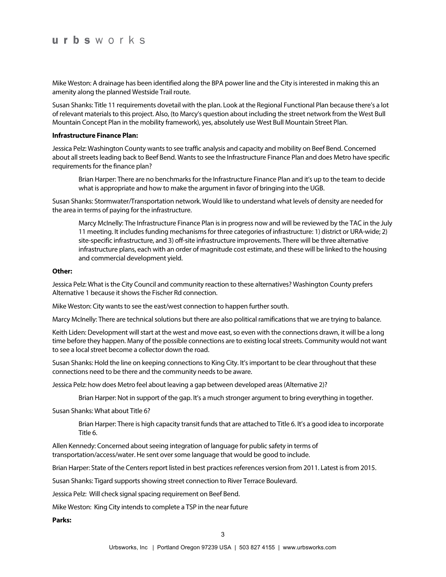Mike Weston: A drainage has been identified along the BPA power line and the City is interested in making this an amenity along the planned Westside Trail route.

Susan Shanks: Title 11 requirements dovetail with the plan. Look at the Regional Functional Plan because there's a lot of relevant materials to this project. Also, (to Marcy's question about including the street network from the West Bull Mountain Concept Plan in the mobility framework), yes, absolutely use West Bull Mountain Street Plan.

#### **Infrastructure Finance Plan:**

Jessica Pelz: Washington County wants to see traffic analysis and capacity and mobility on Beef Bend. Concerned about all streets leading back to Beef Bend. Wants to see the Infrastructure Finance Plan and does Metro have specific requirements for the finance plan?

Brian Harper: There are no benchmarks for the Infrastructure Finance Plan and it's up to the team to decide what is appropriate and how to make the argument in favor of bringing into the UGB.

Susan Shanks: Stormwater/Transportation network. Would like to understand what levels of density are needed for the area in terms of paying for the infrastructure.

Marcy McInelly: The Infrastructure Finance Plan is in progress now and will be reviewed by the TAC in the July 11 meeting. It includes funding mechanisms for three categories of infrastructure: 1) district or URA-wide; 2) site-specific infrastructure, and 3) off-site infrastructure improvements. There will be three alternative infrastructure plans, each with an order of magnitude cost estimate, and these will be linked to the housing and commercial development yield.

#### **Other:**

Jessica Pelz: What is the City Council and community reaction to these alternatives? Washington County prefers Alternative 1 because it shows the Fischer Rd connection.

Mike Weston: City wants to see the east/west connection to happen further south.

Marcy McInelly: There are technical solutions but there are also political ramifications that we are trying to balance.

Keith Liden: Development will start at the west and move east, so even with the connections drawn, it will be a long time before they happen. Many of the possible connections are to existing local streets. Community would not want to see a local street become a collector down the road.

Susan Shanks: Hold the line on keeping connections to King City. It's important to be clear throughout that these connections need to be there and the community needs to be aware.

Jessica Pelz: how does Metro feel about leaving a gap between developed areas (Alternative 2)?

Brian Harper: Not in support of the gap. It's a much stronger argument to bring everything in together.

Susan Shanks: What about Title 6?

Brian Harper: There is high capacity transit funds that are attached to Title 6. It's a good idea to incorporate Title 6.

Allen Kennedy: Concerned about seeing integration of language for public safety in terms of transportation/access/water. He sent over some language that would be good to include.

Brian Harper: State of the Centers report listed in best practices references version from 2011. Latest is from 2015.

Susan Shanks: Tigard supports showing street connection to River Terrace Boulevard.

Jessica Pelz: Will check signal spacing requirement on Beef Bend.

Mike Weston: King City intends to complete a TSP in the near future

**Parks:**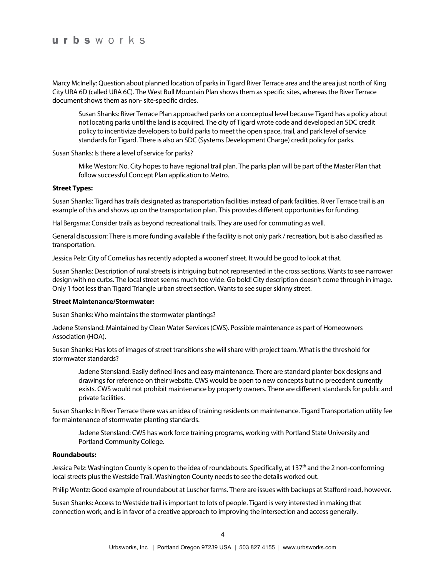Marcy McInelly: Question about planned location of parks in Tigard River Terrace area and the area just north of King City URA 6D (called URA 6C). The West Bull Mountain Plan shows them as specific sites, whereas the River Terrace document shows them as non-site-specific circles.

Susan Shanks: River Terrace Plan approached parks on a conceptual level because Tigard has a policy about not locating parks until the land is acquired. The city of Tigard wrote code and developed an SDC credit policy to incentivize developers to build parks to meet the open space, trail, and park level of service standards for Tigard. There is also an SDC (Systems Development Charge) credit policy for parks.

Susan Shanks: Is there a level of service for parks?

Mike Weston: No. City hopes to have regional trail plan. The parks plan will be part of the Master Plan that follow successful Concept Plan application to Metro.

#### **Street Types:**

Susan Shanks: Tigard has trails designated as transportation facilities instead of park facilities. River Terrace trail is an example of this and shows up on the transportation plan. This provides different opportunities for funding.

Hal Bergsma: Consider trails as beyond recreational trails. They are used for commuting as well.

General discussion: There is more funding available if the facility is not only park / recreation, but is also classified as transportation.

Jessica Pelz: City of Cornelius has recently adopted a woonerf street. It would be good to look at that.

Susan Shanks: Description of rural streets is intriguing but not represented in the cross sections. Wants to see narrower design with no curbs. The local street seems much too wide. Go bold! City description doesn't come through in image. Only 1 foot less than Tigard Triangle urban street section. Wants to see super skinny street.

#### **Street Maintenance/Stormwater:**

Susan Shanks: Who maintains the stormwater plantings?

Jadene Stensland: Maintained by Clean Water Services (CWS). Possible maintenance as part of Homeowners Association (HOA).

Susan Shanks: Has lots of images of street transitions she will share with project team. What is the threshold for stormwater standards?

Jadene Stensland: Easily defined lines and easy maintenance. There are standard planter box designs and drawings for reference on their website. CWS would be open to new concepts but no precedent currently exists. CWS would not prohibit maintenance by property owners. There are different standards for public and private facilities.

Susan Shanks: In River Terrace there was an idea of training residents on maintenance. Tigard Transportation utility fee for maintenance of stormwater planting standards.

Jadene Stensland: CWS has work force training programs, working with Portland State University and Portland Community College.

#### **Roundabouts:**

Jessica Pelz: Washington County is open to the idea of roundabouts. Specifically, at 137<sup>th</sup> and the 2 non-conforming local streets plus the Westside Trail. Washington County needs to see the details worked out.

Philip Wentz: Good example of roundabout at Luscher farms. There are issues with backups at Stafford road, however.

Susan Shanks: Access to Westside trail is important to lots of people. Tigard is very interested in making that connection work, and is in favor of a creative approach to improving the intersection and access generally.